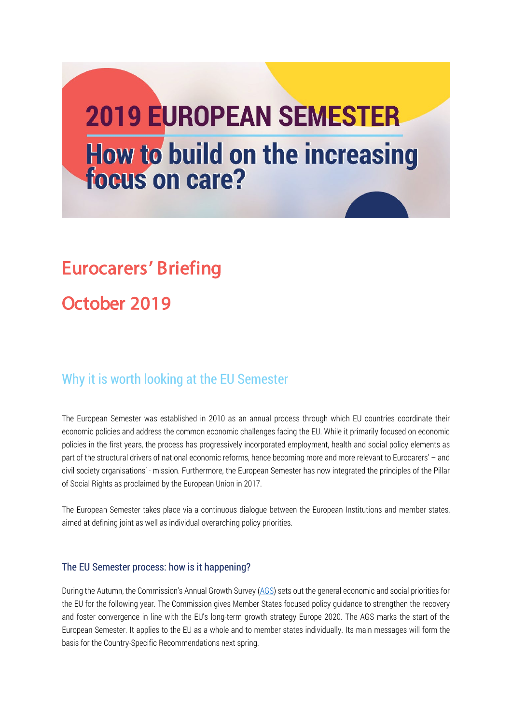# **2019 EUROPEAN SEMESTER How to build on the increasing focus on care?**

# Eurocarers' Briefing

# October 2019

## Why it is worth looking at the EU Semester

The European Semester was established in 2010 as an annual process through which EU countries coordinate their economic policies and address the common economic challenges facing the EU. While it primarily focused on economic policies in the first years, the process has progressively incorporated employment, health and social policy elements as part of the structural drivers of national economic reforms, hence becoming more and more relevant to Eurocarers' – and civil society organisations' - mission. Furthermore, the European Semester has now integrated the principles of the Pillar of Social Rights as proclaimed by the European Union in 2017.

The European Semester takes place via a continuous dialogue between the European Institutions and member states, aimed at defining joint as well as individual overarching policy priorities.

#### The EU Semester process: how is it happening?

During the Autumn, the Commission'[s Annual Growth Survey](https://ec.europa.eu/info/publications/2019-european-semester-annual-growth-survey_en) [\(AGS\)](https://ec.europa.eu/info/publications/2019-european-semester-annual-growth-survey_en) sets out the general economic and social priorities for the EU for the following year. The Commission gives Member States focused policy guidance to strengthen the recovery and foster convergence in line with the EU's long-term growth strategy Europe 2020. The AGS marks the start of the European Semester. It applies to the EU as a whole and to member states individually. Its main messages will form the basis for the Country-Specific Recommendations next spring.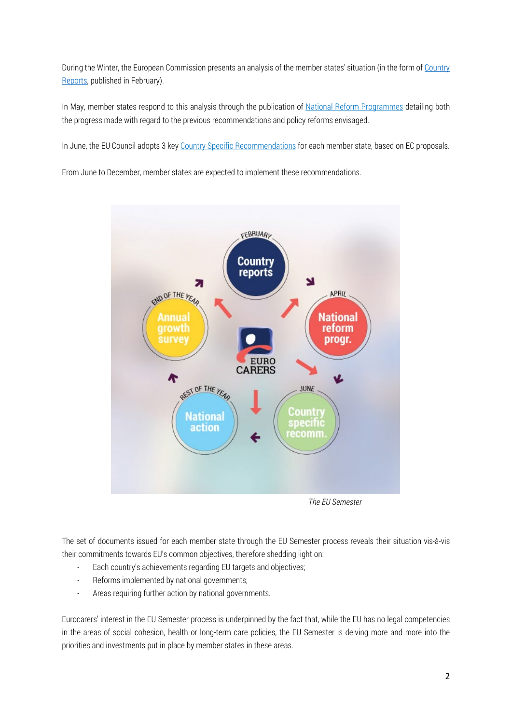During the Winter, the European Commission presents an analysis of the member states' situation (in the form of Country [Reports,](https://ec.europa.eu/info/publications/2019-european-semester-country-reports_en) published in February).

In May, member states respond to this analysis through the publication of **[National Reform Programmes](https://ec.europa.eu/info/business-economy-euro/economic-and-fiscal-policy-coordination/eu-economic-governance-monitoring-prevention-correction/european-semester/european-semester-timeline/national-reform-programmes-and-stability-convergence-programmes/2019-european-semester_en)** detailing both the progress made with regard to the previous recommendations and policy reforms envisaged.

In June, the EU Council adopts 3 key [Country Specific Recommendations](https://ec.europa.eu/info/business-economy-euro/economic-and-fiscal-policy-coordination/eu-economic-governance-monitoring-prevention-correction/european-semester/european-semester-timeline/eu-country-specific-recommendations_en) for each member state, based on EC proposals.

From June to December, member states are expected to implement these recommendations.



 *The EU Semester*

The set of documents issued for each member state through the EU Semester process reveals their situation vis-à-vis their commitments towards EU's common objectives, therefore shedding light on:

- Each country's achievements regarding EU targets and objectives;
- Reforms implemented by national governments;
- Areas requiring further action by national governments.

Eurocarers' interest in the EU Semester process is underpinned by the fact that, while the EU has no legal competencies in the areas of social cohesion, health or long-term care policies, the EU Semester is delving more and more into the priorities and investments put in place by member states in these areas.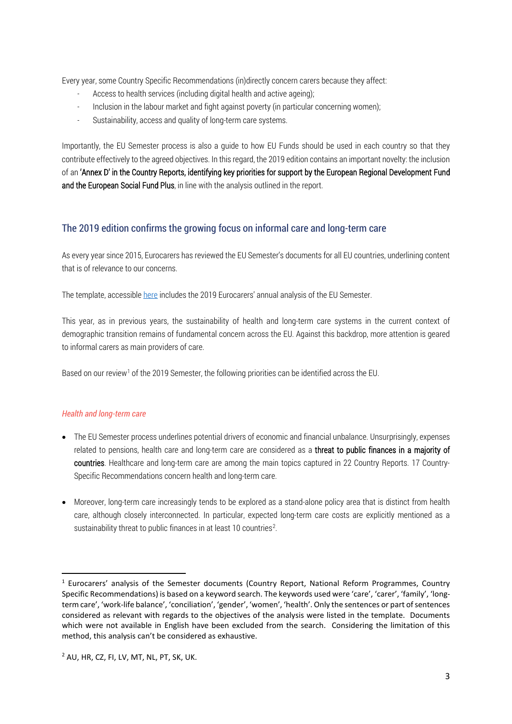Every year, some Country Specific Recommendations (in)directly concern carers because they affect:

- Access to health services (including digital health and active ageing);
- Inclusion in the labour market and fight against poverty (in particular concerning women);
- Sustainability, access and quality of long-term care systems.

Importantly, the EU Semester process is also a guide to how EU Funds should be used in each country so that they contribute effectively to the agreed objectives. In this regard, the 2019 edition contains an important novelty: the inclusion of an 'Annex D' in the Country Reports, identifying key priorities for support by the European Regional Development Fund and the European Social Fund Plus, in line with the analysis outlined in the report.

#### The 2019 edition confirms the growing focus on informal care and long-term care

As every year since 2015, Eurocarers has reviewed the EU Semester's documents for all EU countries, underlining content that is of relevance to our concerns.

The template, accessible [here](http://eurocarers.org/download/18475/) includes the 2019 Eurocarers' annual analysis of the EU Semester.

This year, as in previous years, the sustainability of health and long-term care systems in the current context of demographic transition remains of fundamental concern across the EU. Against this backdrop, more attention is geared to informal carers as main providers of care.

Based on our review<sup>[1](#page-2-0)</sup> of the 2019 Semester, the following priorities can be identified across the EU.

#### *Health and long-term care*

- The EU Semester process underlines potential drivers of economic and financial unbalance. Unsurprisingly, expenses related to pensions, health care and long-term care are considered as a threat to public finances in a majority of countries. Healthcare and long-term care are among the main topics captured in 22 Country Reports. 17 Country-Specific Recommendations concern health and long-term care.
- Moreover, long-term care increasingly tends to be explored as a stand-alone policy area that is distinct from health care, although closely interconnected. In particular, expected long-term care costs are explicitly mentioned as a sustainability threat to public finances in at least 10 countries<sup>[2](#page-2-1)</sup>.

<span id="page-2-1"></span><span id="page-2-0"></span><sup>&</sup>lt;sup>1</sup> Eurocarers' analysis of the Semester documents (Country Report, National Reform Programmes, Country Specific Recommendations) is based on a keyword search. The keywords used were 'care', 'carer', 'family', 'longterm care', 'work-life balance', 'conciliation', 'gender', 'women', 'health'. Only the sentences or part of sentences considered as relevant with regards to the objectives of the analysis were listed in the template. Documents which were not available in English have been excluded from the search. Considering the limitation of this method, this analysis can't be considered as exhaustive.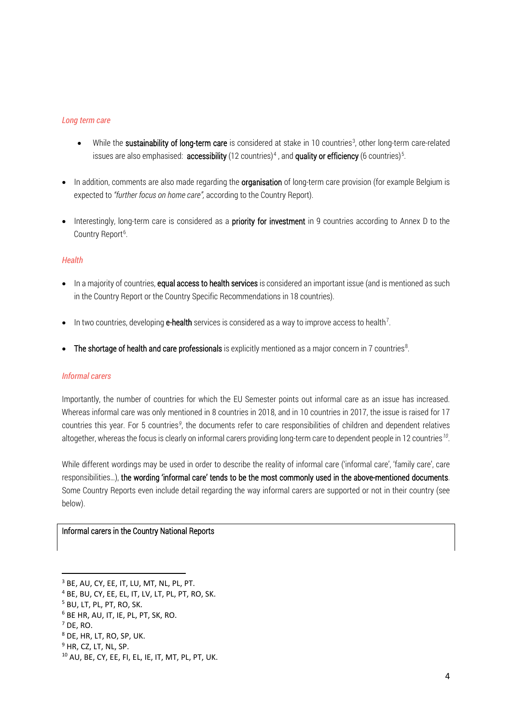#### *Long term care*

- While the sustainability of long-term care is considered at stake in 10 countries<sup>[3](#page-3-0)</sup>, other long-term care-related issues are also emphasised: **accessibility** (12 countries)<sup>[4](#page-3-1)</sup>, and **quality or efficiency** (6 countries)<sup>[5](#page-3-2)</sup>.
- In addition, comments are also made regarding the **organisation** of long-term care provision (for example Belgium is expected to *"further focus on home care",* according to the Country Report).
- Interestingly, long-term care is considered as a **priority for investment** in 9 countries according to Annex D to the Country Report<sup>[6](#page-3-3)</sup>.

#### *Health*

- In a majority of countries, equal access to health services is considered an important issue (and is mentioned as such in the Country Report or the Country Specific Recommendations in 18 countries).
- $\bullet$  In two countries, developing **e-health** services is considered as a way to improve access to health<sup>[7](#page-3-4)</sup>.
- The shortage of health and care professionals is explicitly mentioned as a major concern in 7 countries<sup>[8](#page-3-5)</sup>.

#### *Informal carers*

Importantly, the number of countries for which the EU Semester points out informal care as an issue has increased. Whereas informal care was only mentioned in 8 countries in 2018, and in 10 countries in 2017, the issue is raised for 17 countries this year. For 5 countries<sup>[9](#page-3-6)</sup>, the documents refer to care responsibilities of children and dependent relatives altogether, whereas the focus is clearly on informal carers providing long-term care to dependent people in 12 countries*[10](#page-3-7)*.

While different wordings may be used in order to describe the reality of informal care ('informal care', 'family care', care responsibilities…), the wording 'informal care' tends to be the most commonly used in the above-mentioned documents. Some Country Reports even include detail regarding the way informal carers are supported or not in their country (see below).

#### Informal carers in the Country National Reports

<span id="page-3-3"></span><sup>6</sup> BE HR, AU, IT, IE, PL, PT, SK, RO.

<span id="page-3-0"></span><sup>3</sup> BE, AU, CY, EE, IT, LU, MT, NL, PL, PT.

<span id="page-3-1"></span><sup>4</sup> BE, BU, CY, EE, EL, IT, LV, LT, PL, PT, RO, SK.

<span id="page-3-2"></span><sup>5</sup> BU, LT, PL, PT, RO, SK.

<span id="page-3-4"></span><sup>7</sup> DE, RO.

<span id="page-3-5"></span><sup>8</sup> DE, HR, LT, RO, SP, UK.

<span id="page-3-6"></span><sup>&</sup>lt;sup>9</sup> HR, CZ, LT, NL, SP.

<span id="page-3-7"></span><sup>10</sup> AU, BE, CY, EE, FI, EL, IE, IT, MT, PL, PT, UK.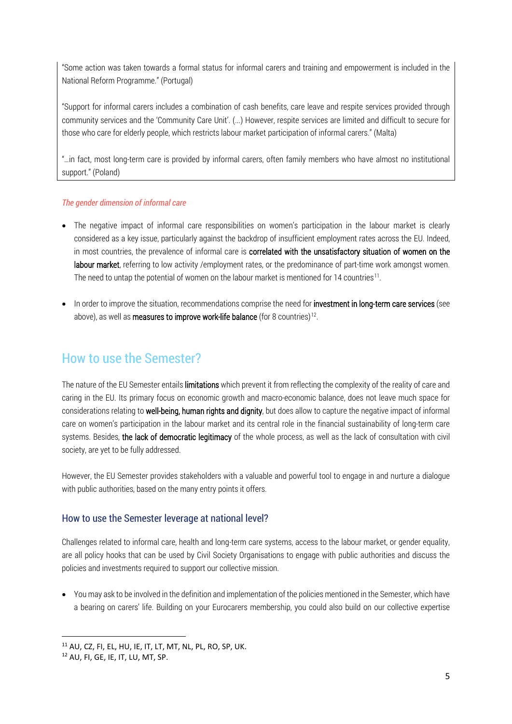"Some action was taken towards a formal status for informal carers and training and empowerment is included in the National Reform Programme." (Portugal)

"Support for informal carers includes a combination of cash benefits, care leave and respite services provided through community services and the 'Community Care Unit'. (...) However, respite services are limited and difficult to secure for those who care for elderly people, which restricts labour market participation of informal carers." (Malta)

"…in fact, most long-term care is provided by informal carers, often family members who have almost no institutional support." (Poland)

#### *The gender dimension of informal care*

- The negative impact of informal care responsibilities on women's participation in the labour market is clearly considered as a key issue, particularly against the backdrop of insufficient employment rates across the EU. Indeed, in most countries, the prevalence of informal care is correlated with the unsatisfactory situation of women on the labour market, referring to low activity /employment rates, or the predominance of part-time work amongst women. The need to untap the potential of women on the labour market is mentioned for 14 countries<sup>[11](#page-4-0)</sup>.
- In order to improve the situation, recommendations comprise the need for investment in long-term care services (see above), as well as **measures to improve work-life balance** (for 8 countries)<sup>12</sup>.

## How to use the Semester?

The nature of the EU Semester entails limitations which prevent it from reflecting the complexity of the reality of care and caring in the EU. Its primary focus on economic growth and macro-economic balance, does not leave much space for considerations relating to well-being, human rights and dignity, but does allow to capture the negative impact of informal care on women's participation in the labour market and its central role in the financial sustainability of long-term care systems. Besides, the lack of democratic legitimacy of the whole process, as well as the lack of consultation with civil society, are yet to be fully addressed.

However, the EU Semester provides stakeholders with a valuable and powerful tool to engage in and nurture a dialogue with public authorities, based on the many entry points it offers.

#### How to use the Semester leverage at national level?

Challenges related to informal care, health and long-term care systems, access to the labour market, or gender equality, are all policy hooks that can be used by Civil Society Organisations to engage with public authorities and discuss the policies and investments required to support our collective mission.

• You may ask to be involved in the definition and implementation of the policies mentioned in the Semester, which have a bearing on carers' life. Building on your Eurocarers membership, you could also build on our collective expertise

<span id="page-4-0"></span><sup>11</sup> AU, CZ, FI, EL, HU, IE, IT, LT, MT, NL, PL, RO, SP, UK.

<span id="page-4-1"></span><sup>12</sup> AU, FI, GE, IE, IT, LU, MT, SP.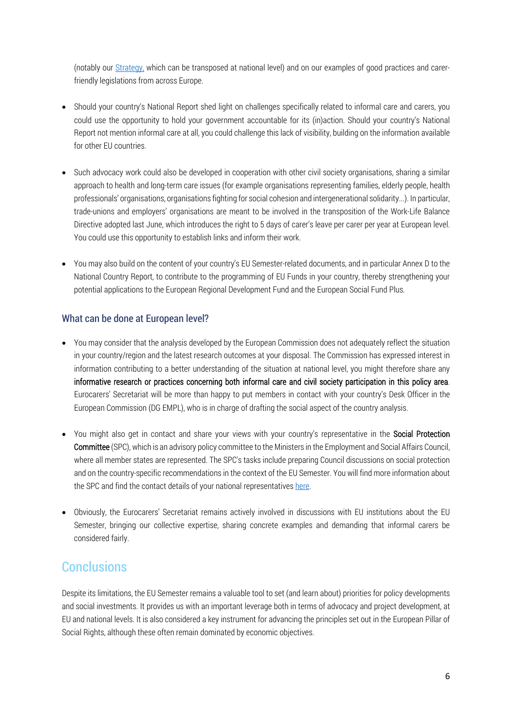(notably our [Strategy,](https://eurocarers.org/strategy/) which can be transposed at national level) and on our examples of good practices and carerfriendly legislations from across Europe.

- Should your country's National Report shed light on challenges specifically related to informal care and carers, you could use the opportunity to hold your government accountable for its (in)action. Should your country's National Report not mention informal care at all, you could challenge this lack of visibility, building on the information available for other EU countries.
- Such advocacy work could also be developed in cooperation with other civil society organisations, sharing a similar approach to health and long-term care issues (for example organisations representing families, elderly people, health professionals' organisations, organisations fighting for social cohesion and intergenerational solidarity...). In particular, trade-unions and employers' organisations are meant to be involved in the transposition of the Work-Life Balance Directive adopted last June, which introduces the right to 5 days of carer's leave per carer per year at European level. You could use this opportunity to establish links and inform their work.
- You may also build on the content of your country's EU Semester-related documents, and in particular Annex D to the National Country Report, to contribute to the programming of EU Funds in your country, thereby strengthening your potential applications to the European Regional Development Fund and the European Social Fund Plus.

#### What can be done at European level?

- You may consider that the analysis developed by the European Commission does not adequately reflect the situation in your country/region and the latest research outcomes at your disposal. The Commission has expressed interest in information contributing to a better understanding of the situation at national level, you might therefore share any informative research or practices concerning both informal care and civil society participation in this policy area. Eurocarers' Secretariat will be more than happy to put members in contact with your country's Desk Officer in the European Commission (DG EMPL), who is in charge of drafting the social aspect of the country analysis.
- You might also get in contact and share your views with your country's representative in the Social Protection Committee (SPC), which is an advisory policy committee to the Ministers in the Employment and Social Affairs Council, where all member states are represented. The SPC's tasks include preparing Council discussions on social protection and on the country-specific recommendations in the context of the EU Semester. You will find more information about the SPC and find the contact details of your national representatives [here.](https://ec.europa.eu/social/main.jsp?catId=758)
- Obviously, the Eurocarers' Secretariat remains actively involved in discussions with EU institutions about the EU Semester, bringing our collective expertise, sharing concrete examples and demanding that informal carers be considered fairly.

### **Conclusions**

Despite its limitations, the EU Semester remains a valuable tool to set (and learn about) priorities for policy developments and social investments. It provides us with an important leverage both in terms of advocacy and project development, at EU and national levels. It is also considered a key instrument for advancing the principles set out in the European Pillar of Social Rights, although these often remain dominated by economic objectives.